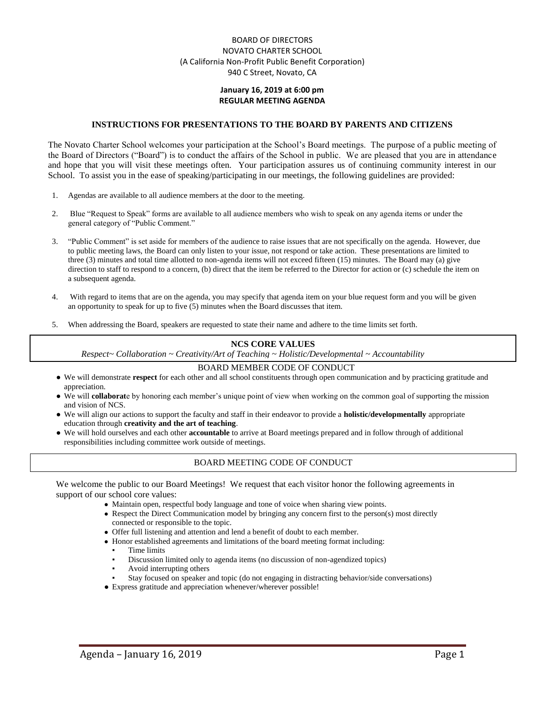### BOARD OF DIRECTORS NOVATO CHARTER SCHOOL (A California Non-Profit Public Benefit Corporation) 940 C Street, Novato, CA

#### **January 16, 2019 at 6:00 pm REGULAR MEETING AGENDA**

#### **INSTRUCTIONS FOR PRESENTATIONS TO THE BOARD BY PARENTS AND CITIZENS**

The Novato Charter School welcomes your participation at the School's Board meetings. The purpose of a public meeting of the Board of Directors ("Board") is to conduct the affairs of the School in public. We are pleased that you are in attendance and hope that you will visit these meetings often. Your participation assures us of continuing community interest in our School. To assist you in the ease of speaking/participating in our meetings, the following guidelines are provided:

- 1. Agendas are available to all audience members at the door to the meeting.
- 2. Blue "Request to Speak" forms are available to all audience members who wish to speak on any agenda items or under the general category of "Public Comment."
- 3. "Public Comment" is set aside for members of the audience to raise issues that are not specifically on the agenda. However, due to public meeting laws, the Board can only listen to your issue, not respond or take action. These presentations are limited to three (3) minutes and total time allotted to non-agenda items will not exceed fifteen (15) minutes. The Board may (a) give direction to staff to respond to a concern, (b) direct that the item be referred to the Director for action or (c) schedule the item on a subsequent agenda.
- 4. With regard to items that are on the agenda, you may specify that agenda item on your blue request form and you will be given an opportunity to speak for up to five (5) minutes when the Board discusses that item.
- 5. When addressing the Board, speakers are requested to state their name and adhere to the time limits set forth.

#### **NCS CORE VALUES**

*Respect~ Collaboration ~ Creativity/Art of Teaching ~ Holistic/Developmental ~ Accountability*

#### BOARD MEMBER CODE OF CONDUCT

- We will demonstrate **respect** for each other and all school constituents through open communication and by practicing gratitude and appreciation.
- We will **collaborat**e by honoring each member's unique point of view when working on the common goal of supporting the mission and vision of NCS.
- We will align our actions to support the faculty and staff in their endeavor to provide a **holistic/developmentally** appropriate education through **creativity and the art of teaching**.
- We will hold ourselves and each other **accountable** to arrive at Board meetings prepared and in follow through of additional responsibilities including committee work outside of meetings.

#### BOARD MEETING CODE OF CONDUCT

We welcome the public to our Board Meetings! We request that each visitor honor the following agreements in support of our school core values:

- Maintain open, respectful body language and tone of voice when sharing view points.
- Respect the Direct Communication model by bringing any concern first to the person(s) most directly connected or responsible to the topic.
- Offer full listening and attention and lend a benefit of doubt to each member.
- Honor established agreements and limitations of the board meeting format including:
	- Time limits
	- Discussion limited only to agenda items (no discussion of non-agendized topics)
	- Avoid interrupting others
	- Stay focused on speaker and topic (do not engaging in distracting behavior/side conversations)
- Express gratitude and appreciation whenever/wherever possible!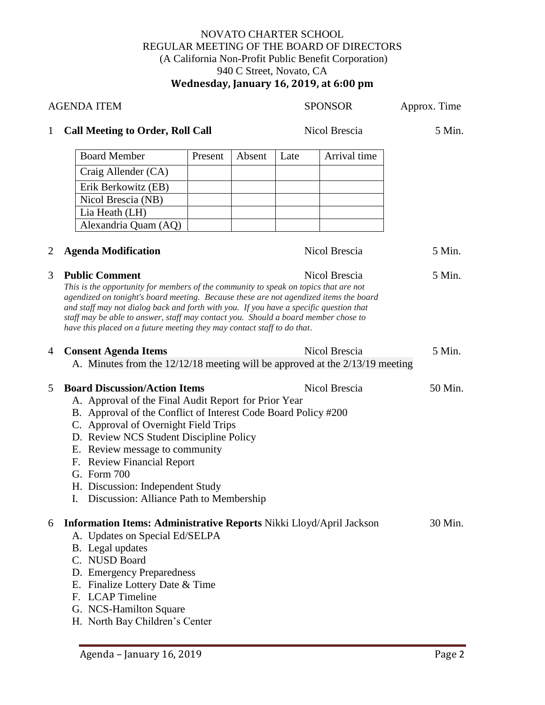### NOVATO CHARTER SCHOOL REGULAR MEETING OF THE BOARD OF DIRECTORS (A California Non-Profit Public Benefit Corporation) 940 C Street, Novato, CA **Wednesday, January 16, 2019, at 6:00 pm**

| <b>AGENDA ITEM</b> |                                                                                                                                                                                                                                                                                                                                                                                                                                                                   |         |        |               | <b>SPONSOR</b> | Approx. Time |
|--------------------|-------------------------------------------------------------------------------------------------------------------------------------------------------------------------------------------------------------------------------------------------------------------------------------------------------------------------------------------------------------------------------------------------------------------------------------------------------------------|---------|--------|---------------|----------------|--------------|
| $\mathbf{1}$       | <b>Call Meeting to Order, Roll Call</b>                                                                                                                                                                                                                                                                                                                                                                                                                           |         |        | Nicol Brescia |                | 5 Min.       |
|                    | <b>Board Member</b>                                                                                                                                                                                                                                                                                                                                                                                                                                               | Present | Absent | Late          | Arrival time   |              |
|                    | Craig Allender (CA)                                                                                                                                                                                                                                                                                                                                                                                                                                               |         |        |               |                |              |
|                    | Erik Berkowitz (EB)                                                                                                                                                                                                                                                                                                                                                                                                                                               |         |        |               |                |              |
|                    | Nicol Brescia (NB)                                                                                                                                                                                                                                                                                                                                                                                                                                                |         |        |               |                |              |
|                    | Lia Heath (LH)                                                                                                                                                                                                                                                                                                                                                                                                                                                    |         |        |               |                |              |
|                    | Alexandria Quam (AQ)                                                                                                                                                                                                                                                                                                                                                                                                                                              |         |        |               |                |              |
| $\overline{2}$     | <b>Agenda Modification</b>                                                                                                                                                                                                                                                                                                                                                                                                                                        |         |        |               | Nicol Brescia  | 5 Min.       |
| 3                  | <b>Public Comment</b><br>This is the opportunity for members of the community to speak on topics that are not<br>agendized on tonight's board meeting. Because these are not agendized items the board<br>and staff may not dialog back and forth with you. If you have a specific question that<br>staff may be able to answer, staff may contact you. Should a board member chose to<br>have this placed on a future meeting they may contact staff to do that. |         |        |               | Nicol Brescia  | 5 Min.       |
| 4                  | <b>Consent Agenda Items</b><br>A. Minutes from the 12/12/18 meeting will be approved at the 2/13/19 meeting                                                                                                                                                                                                                                                                                                                                                       |         |        |               | Nicol Brescia  | 5 Min.       |
| 5                  | <b>Board Discussion/Action Items</b><br>A. Approval of the Final Audit Report for Prior Year<br>B. Approval of the Conflict of Interest Code Board Policy #200<br>C. Approval of Overnight Field Trips<br>D. Review NCS Student Discipline Policy<br>E. Review message to community<br>F. Review Financial Report<br>G. Form 700<br>H. Discussion: Independent Study<br>I. Discussion: Alliance Path to Membership                                                |         |        |               | Nicol Brescia  | 50 Min.      |
| 6                  | Information Items: Administrative Reports Nikki Lloyd/April Jackson<br>A. Updates on Special Ed/SELPA<br>B. Legal updates<br>C. NUSD Board<br>D. Emergency Preparedness<br>E. Finalize Lottery Date & Time<br>F. LCAP Timeline<br>G. NCS-Hamilton Square<br>H. North Bay Children's Center                                                                                                                                                                        |         |        |               |                | 30 Min.      |